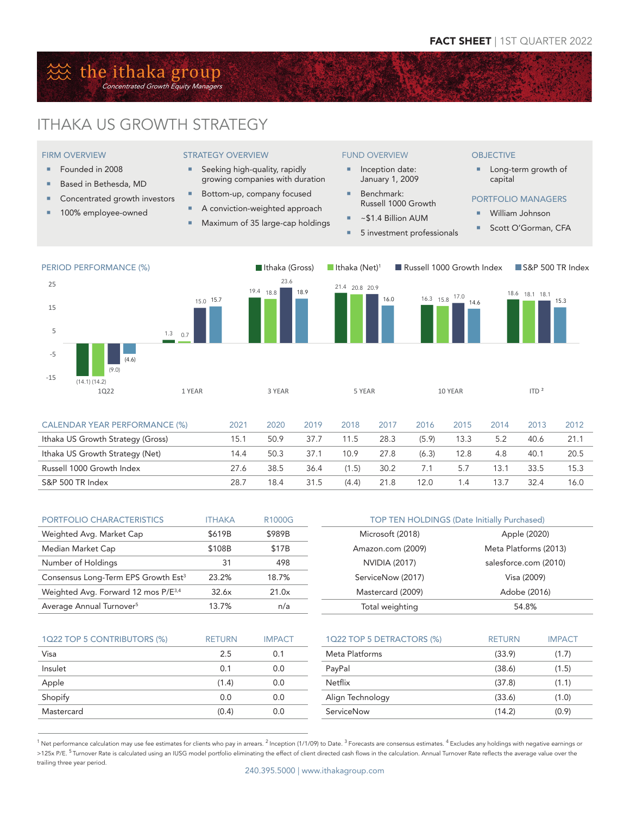# **然 the ithaka group** Concentrated Growth Equity Managers

FIRM OVERVIEW ■ Founded in 2008 ■ Based in Bethesda, MD Concentrated growth investors **100% employee-owned** 

# ITHAKA US GROWTH STRATEGY

# STRATEGY OVERVIEW

- **Seeking high-quality, rapidly** growing companies with duration
- Bottom-up, company focused
- A conviction-weighted approach
- **Maximum of 35 large-cap holdings**

# FUND OVERVIEW

- **Inception date:** January 1, 2009
- Benchmark: Russell 1000 Growth
- $\overline{\phantom{a}}$  ~\$1.4 Billion AUM
- 5 investment professionals

#### **OBJECTIVE**

**Long-term growth of** capital

# PORTFOLIO MANAGERS

- William Johnson
- Scott O'Gorman, CFA



| PORTFOLIO CHARACTERISTICS                       | <b>ITHAKA</b> | R1000G | <b>TOP TEN HOLDINGS (Date Initially Purchased)</b> |                       |  |
|-------------------------------------------------|---------------|--------|----------------------------------------------------|-----------------------|--|
| Weighted Avg. Market Cap                        | \$619B        | \$989B | Microsoft (2018)                                   | Apple (2020)          |  |
| Median Market Cap                               | \$108B        | \$17B  | Amazon.com (2009)                                  | Meta Platforms (2013) |  |
| Number of Holdings                              | 31            | 498    | NVIDIA (2017)                                      | salesforce.com (2010) |  |
| Consensus Long-Term EPS Growth Est <sup>3</sup> | 23.2%         | 18.7%  | ServiceNow (2017)                                  | Visa (2009)           |  |
| Weighted Avg. Forward 12 mos P/E <sup>3,4</sup> | 32.6x         | 21.0x  | Mastercard (2009)                                  | Adobe (2016)          |  |
| Average Annual Turnover <sup>5</sup>            | 13.7%         | n/a    | Total weighting                                    | 54.8%                 |  |

S&P 500 TR Index 28.7 18.4 31.5 (4.4) 21.8 12.0 1.4 13.7 32.4 16.0

| 1Q22 TOP 5 CONTRIBUTORS (%) | <b>RETURN</b> | <b>IMPACT</b> | 1Q22 TOP 5 DETRACTORS (%) | <b>RETURN</b> | <b>IMPACT</b> |
|-----------------------------|---------------|---------------|---------------------------|---------------|---------------|
| Visa                        | 2.5           | 0.1           | Meta Platforms            | (33.9)        | (1.7)         |
| Insulet                     | 0.1           | 0.0           | PayPal                    | (38.6)        | (1.5)         |
| Apple                       | (1.4)         | 0.0           | Netflix                   | (37.8)        | (1.1)         |
| Shopify                     | 0.0           | 0.0           | Align Technology          | (33.6)        | (1.0)         |
| Mastercard                  | (0.4)         | 0.0           | ServiceNow                | (14.2)        | (0.9)         |

 $1$  Net performance calculation may use fee estimates for clients who pay in arrears. <sup>2</sup> Inception (1/1/09) to Date.  $3$  Forecasts are consensus estimates.  $4$  Excludes any holdings with negative earnings or >125x P/E. <sup>5</sup> Turnover Rate is calculated using an IUSG model portfolio eliminating the effect of client directed cash flows in the calculation. Annual Turnover Rate reflects the average value over the trailing three year period.